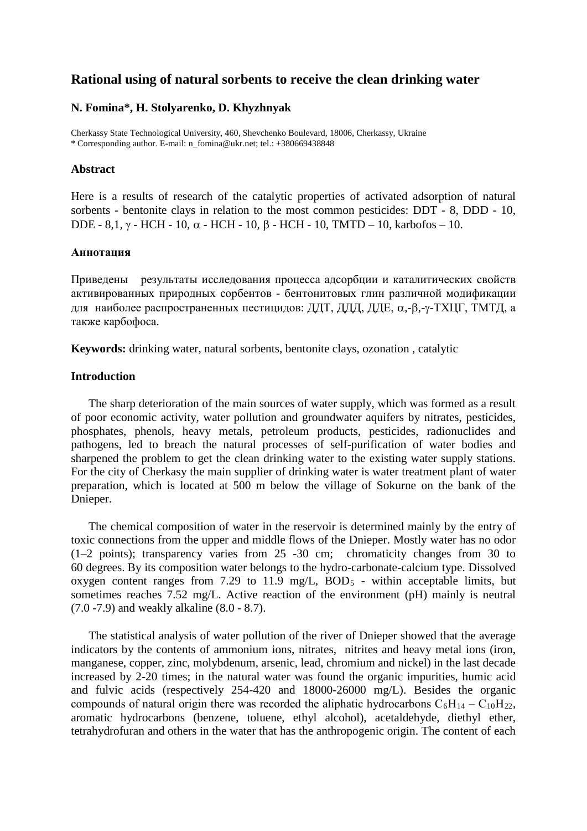# **Rational using of natural sorbents to receive the clean drinking water**

### **N. Fomina\*, H. Stolyarenko, D. Khyzhnyak**

Cherkassy State Technological University, 460, Shevchenko Boulevard, 18006, Cherkassy, Ukraine \* Corresponding author. E-mail: n\_fomina@ukr.net; tel.: +380669438848

#### **Abstract**

Here is a results of research of the catalytic properties of activated adsorption of natural sorbents - bentonite clays in relation to the most common pesticides: DDT - 8, DDD - 10, DDE - 8,1, γ - HCH - 10, α - HCH - 10, β - HCH - 10, TMTD - 10, karbofos - 10.

#### **Аннотация**

Приведены результаты исследования процесса адсорбции и каталитических свойств активированных природных сорбентов - бентонитовых глин различной модификации для наиболее распространенных пестицидов: ДДТ, ДДД, ДДЕ, α,-β,-γ-ТХЦГ, ТМТД, а также карбофоса.

**Keywords:** drinking water, natural sorbents, bentonite clays, ozonation , catalytic

### **Introduction**

The sharp deterioration of the main sources of water supply, which was formed as a result of poor economic activity, water pollution and groundwater aquifers by nitrates, pesticides, phosphates, phenols, heavy metals, petroleum products, pesticides, radionuclides and pathogens, led to breach the natural processes of self-purification of water bodies and sharpened the problem to get the clean drinking water to the existing water supply stations. For the city of Cherkasy the main supplier of drinking water is water treatment plant of water preparation, which is located at 500 m below the village of Sokurne on the bank of the Dnieper.

The chemical composition of water in the reservoir is determined mainly by the entry of toxic connections from the upper and middle flows of the Dnieper. Mostly water has no odor (1–2 points); transparency varies from 25 -30 cm; chromaticity changes from 30 to 60 degrees. By its composition water belongs to the hydro-carbonate-calcium type. Dissolved oxygen content ranges from 7.29 to 11.9 mg/L,  $BOD_5$  - within acceptable limits, but sometimes reaches 7.52 mg/L. Active reaction of the environment (pH) mainly is neutral (7.0 -7.9) and weakly alkaline (8.0 - 8.7).

The statistical analysis of water pollution of the river of Dnieper showed that the average indicators by the contents of ammonium ions, nitrates, nitrites and heavy metal ions (iron, manganese, copper, zinc, molybdenum, arsenic, lead, chromium and nickel) in the last decade increased by 2-20 times; in the natural water was found the organic impurities, humic acid and fulvic acids (respectively 254-420 and 18000-26000 mg/L). Besides the organic compounds of natural origin there was recorded the aliphatic hydrocarbons  $C_6H_{14} - C_{10}H_{22}$ , aromatic hydrocarbons (benzene, toluene, ethyl alcohol), acetaldehyde, diethyl ether, tetrahydrofuran and others in the water that has the anthropogenic origin. The content of each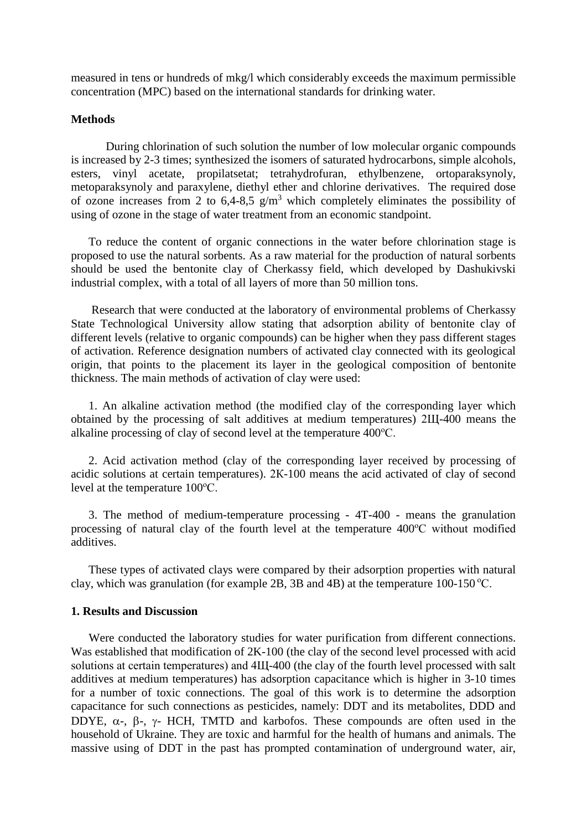measured in tens or hundreds of mkg/l which considerably exceeds the maximum permissible concentration (MPC) based on the international standards for drinking water.

### **Methods**

During chlorination of such solution the number of low molecular organic compounds is increased by 2-3 times; synthesized the isomers of saturated hydrocarbons, simple alcohols, esters, vinyl acetate, propilatsetat; tetrahydrofuran, ethylbenzene, ortoparaksynoly, metoparaksynoly and paraxylene, diethyl ether and chlorine derivatives. The required dose of ozone increases from 2 to 6,4-8,5  $g/m<sup>3</sup>$  which completely eliminates the possibility of using of ozone in the stage of water treatment from an economic standpoint.

To reduce the content of organic connections in the water before chlorination stage is proposed to use the natural sorbents. As a raw material for the production of natural sorbents should be used the bentonite clay of Cherkassy field, which developed by Dashukivski industrial complex, with a total of all layers of more than 50 million tons.

Research that were conducted at the laboratory of environmental problems of Cherkassy State Technological University allow stating that adsorption ability of bentonite clay of different levels (relative to organic compounds) can be higher when they pass different stages of activation. Reference designation numbers of activated clay connected with its geological origin, that points to the placement its layer in the geological composition of bentonite thickness. The main methods of activation of clay were used:

1. An alkaline activation method (the modified clay of the corresponding layer which obtained by the processing of salt additives at medium temperatures) 2Щ-400 means the alkaline processing of clay of second level at the temperature 400°C.

2. Acid activation method (clay of the corresponding layer received by processing of acidic solutions at certain temperatures). 2К-100 means the acid activated of clay of second level at the temperature 100°C.

3. The method of medium-temperature processing - 4T-400 - means the granulation processing of natural clay of the fourth level at the temperature 400°C without modified additives.

These types of activated clays were compared by their adsorption properties with natural clay, which was granulation (for example 2B, 3B and 4B) at the temperature  $100-150$  °C.

### **1. Results and Discussion**

Were conducted the laboratory studies for water purification from different connections. Was established that modification of 2K-100 (the clay of the second level processed with acid solutions at certain temperatures) and 4Щ-400 (the clay of the fourth level processed with salt additives at medium temperatures) has adsorption capacitance which is higher in 3-10 times for a number of toxic connections. The goal of this work is to determine the adsorption capacitance for such connections as pesticides, namely: DDT and its metabolites, DDD and DDYE,  $\alpha$ -,  $\beta$ -,  $\gamma$ - HCH, TMTD and karbofos. These compounds are often used in the household of Ukraine. They are toxic and harmful for the health of humans and animals. The massive using of DDT in the past has prompted contamination of underground water, air,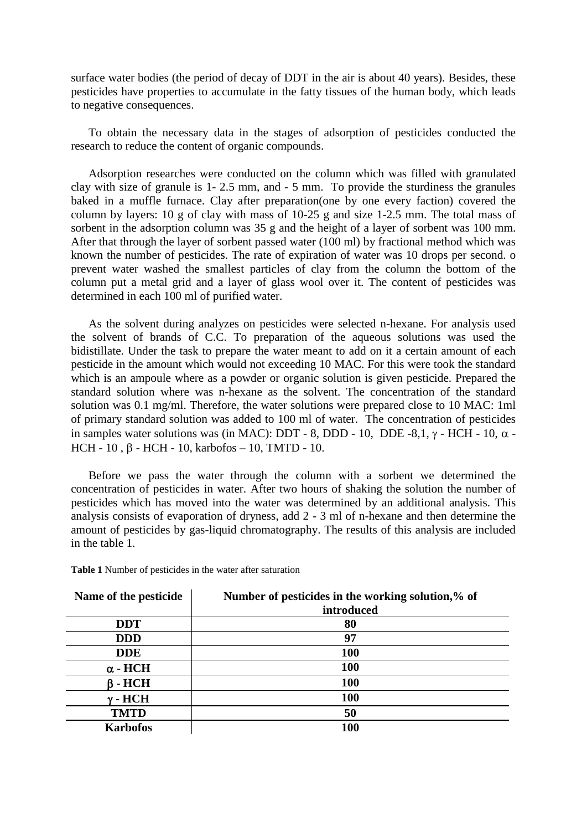surface water bodies (the period of decay of DDT in the air is about 40 years). Besides, these pesticides have properties to accumulate in the fatty tissues of the human body, which leads to negative consequences.

To obtain the necessary data in the stages of adsorption of pesticides conducted the research to reduce the content of organic compounds.

Adsorption researches were conducted on the column which was filled with granulated clay with size of granule is 1- 2.5 mm, and - 5 mm. To provide the sturdiness the granules baked in a muffle furnace. Clay after preparation(one by one every faction) covered the column by layers: 10 g of clay with mass of 10-25 g and size 1-2.5 mm. The total mass of sorbent in the adsorption column was 35 g and the height of a layer of sorbent was 100 mm. After that through the layer of sorbent passed water (100 ml) by fractional method which was known the number of pesticides. The rate of expiration of water was 10 drops per second. o prevent water washed the smallest particles of clay from the column the bottom of the column put a metal grid and a layer of glass wool over it. The content of pesticides was determined in each 100 ml of purified water.

As the solvent during analyzes on pesticides were selected n-hexane. For analysis used the solvent of brands of C.C. To preparation of the aqueous solutions was used the bidistillate. Under the task to prepare the water meant to add on it a certain amount of each pesticide in the amount which would not exceeding 10 MAC. For this were took the standard which is an ampoule where as a powder or organic solution is given pesticide. Prepared the standard solution where was n-hexane as the solvent. The concentration of the standard solution was 0.1 mg/ml. Therefore, the water solutions were prepared close to 10 MAC: 1ml of primary standard solution was added to 100 ml of water. The concentration of pesticides in samples water solutions was (in MAC): DDT - 8, DDD - 10, DDE -8,1,  $\gamma$  - HCH - 10, α -HCH - 10 , β - HCH - 10, karbofos – 10, TMTD - 10.

Before we pass the water through the column with a sorbent we determined the concentration of pesticides in water. After two hours of shaking the solution the number of pesticides which has moved into the water was determined by an additional analysis. This analysis consists of evaporation of dryness, add 2 - 3 ml of n-hexane and then determine the amount of pesticides by gas-liquid chromatography. Тhe results of this analysis are included in the table 1.

**Table 1** Number of pesticides in the water after saturation

| Name of the pesticide | Number of pesticides in the working solution,% of<br>introduced |
|-----------------------|-----------------------------------------------------------------|
| <b>DDT</b>            | 80                                                              |
| <b>DDD</b>            | 97                                                              |
| <b>DDE</b>            | <b>100</b>                                                      |
| $\alpha$ - HCH        | 100                                                             |
| $\beta$ - HCH         | 100                                                             |
| $\gamma$ - $HCH$      | 100                                                             |
| <b>TMTD</b>           | 50                                                              |
| <b>Karbofos</b>       | <b>100</b>                                                      |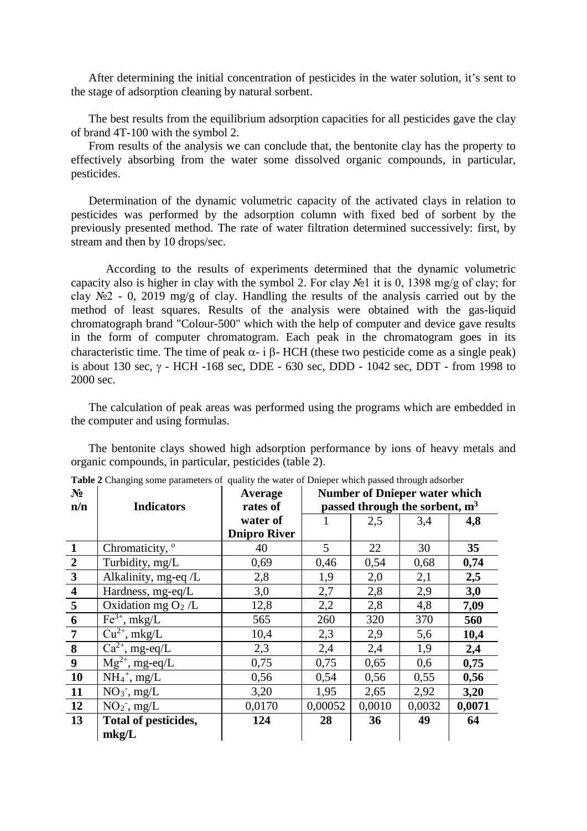After determining the initial concentration of pesticides in the water solution, it's sent to the stage of adsorption cleaning by natural sorbent.

The best results from the equilibrium adsorption capacities for all pesticides gave the clay of brand 4T-100 with the symbol 2.

From results of the analysis we can conclude that, the bentonite clay has the property to effectively absorbing from the water some dissolved organic compounds, in particular, pesticides.

Determination of the dynamic volumetric capacity of the activated clays in relation to pesticides was performed by the adsorption column with fixed bed of sorbent by the previously presented method. The rate of water filtration determined successively: first, by stream and then by 10 drops/sec.

According to the results of experiments determined that the dynamic volumetric capacity also is higher in clay with the symbol 2. For clay  $N<sub>2</sub>1$  it is 0, 1398 mg/g of clay; for clay  $\mathbb{N}^2$  - 0, 2019 mg/g of clay. Handling the results of the analysis carried out by the method of least squares. Results of the analysis were obtained with the gas-liquid chromatograph brand "Colour-500" which with the help of computer and device gave results in the form of computer chromatogram. Each peak in the chromatogram goes in its characteristic time. The time of peak  $\alpha$ - i β- HCH (these two pesticide come as a single peak) is about 130 sec,  $\gamma$  - HCH -168 sec, DDE - 630 sec, DDD - 1042 sec, DDT - from 1998 to 2000 sec.

The calculation of peak areas was performed using the programs which are embedded in the computer and using formulas.

The bentonite clays showed high adsorption performance by ions of heavy metals and organic compounds, in particular, pesticides (table 2).

| $N_2$                   |                                              | Average             | <b>Number of Dnieper water which</b><br>passed through the sorbent, m <sup>3</sup> |        |        |        |  |
|-------------------------|----------------------------------------------|---------------------|------------------------------------------------------------------------------------|--------|--------|--------|--|
| n/n                     | <b>Indicators</b>                            | rates of            |                                                                                    |        |        |        |  |
|                         |                                              | water of            |                                                                                    | 2,5    | 3,4    | 4,8    |  |
|                         |                                              | <b>Dnipro River</b> |                                                                                    |        |        |        |  |
| $\mathbf{1}$            | Chromaticity, <sup>o</sup>                   | 40                  | $\mathfrak{S}$                                                                     | 22     | 30     | 35     |  |
| $\overline{2}$          | Turbidity, mg/L                              | 0,69                | 0,46                                                                               | 0,54   | 0,68   | 0,74   |  |
| $\mathbf{3}$            | Alkalinity, mg-eq /L                         | 2,8                 | 1,9                                                                                | 2,0    | 2,1    | 2,5    |  |
| $\overline{\mathbf{4}}$ | Hardness, mg-eq/L                            | 3,0                 | 2,7                                                                                | 2,8    | 2,9    | 3,0    |  |
| 5                       | Oxidation mg $O2/L$                          | 12,8                | 2,2                                                                                | 2,8    | 4,8    | 7,09   |  |
| 6                       | $Fe3+$ , mkg/L                               | 565                 | 260                                                                                | 320    | 370    | 560    |  |
| $\overline{7}$          | $Cu^{2+}$ , mkg/L                            | 10,4                | 2,3                                                                                | 2,9    | 5,6    | 10,4   |  |
| 8                       | $\overline{\text{Ca}^{2+}}$ , mg-eq/L        | 2,3                 | 2,4                                                                                | 2,4    | 1,9    | 2,4    |  |
| 9                       | $\overline{\text{M}}\text{g}^{2+}$ , mg-eq/L | 0,75                | 0,75                                                                               | 0,65   | 0,6    | 0,75   |  |
| 10                      | $NH_4^+$ , mg/L                              | 0,56                | 0,54                                                                               | 0,56   | 0,55   | 0,56   |  |
| 11                      | $NO_3^-$ , mg/L                              | 3,20                | 1,95                                                                               | 2,65   | 2,92   | 3,20   |  |
| 12                      | $NO2$ , mg/L                                 | 0,0170              | 0,00052                                                                            | 0,0010 | 0,0032 | 0,0071 |  |
| 13                      | Total of pesticides,                         | 124                 | 28                                                                                 | 36     | 49     | 64     |  |
|                         | mkg/L                                        |                     |                                                                                    |        |        |        |  |

**Table 2** Changing some parameters of quality the water of Dnieper which passed through adsorber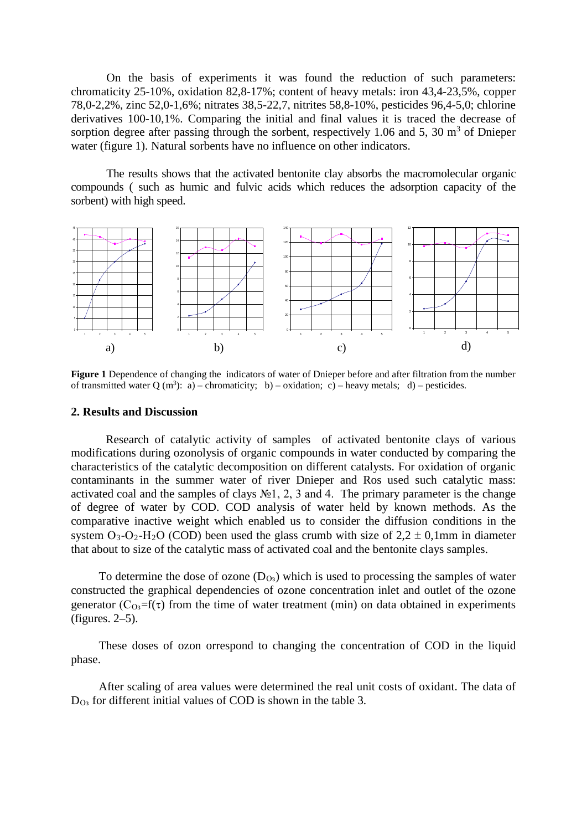On the basis of experiments it was found the reduction of such parameters: chromaticity 25-10%, oxidation 82,8-17%; content of heavy metals: iron 43,4-23,5%, copper 78,0-2,2%, zinc 52,0-1,6%; nitrates 38,5-22,7, nitrites 58,8-10%, pesticides 96,4-5,0; chlorine derivatives 100-10,1%. Comparing the initial and final values it is traced the decrease of sorption degree after passing through the sorbent, respectively 1.06 and 5, 30  $\text{m}^3$  of Dnieper water (figure 1). Natural sorbents have no influence on other indicators.

The results shows that the activated bentonite clay absorbs the macromolecular organic compounds ( such as humic and fulvic acids which reduces the adsorption capacity of the sorbent) with high speed.



**Figure 1** Dependence of changing the indicators of water of Dnieper before and after filtration from the number of transmitted water Q (m<sup>3</sup>): a) – chromaticity; b) – oxidation; c) – heavy metals; d) – pesticides.

#### **2. Results and Discussion**

Research of catalytic activity of samples of activated bentonite clays of various modifications during ozonolysis of organic compounds in water conducted by comparing the characteristics of the catalytic decomposition on different catalysts. For oxidation of organic contaminants in the summer water of river Dnieper and Ros used such catalytic mass: activated coal and the samples of clays  $N<sub>2</sub>1$ , 2, 3 and 4. The primary parameter is the change of degree of water by COD. COD analysis of water held by known methods. As the comparative inactive weight which enabled us to consider the diffusion conditions in the system  $O_3-O_2-H_2O$  (COD) been used the glass crumb with size of  $2.2 \pm 0.1$ mm in diameter that about to size of the catalytic mass of activated coal and the bentonite clays samples.

To determine the dose of ozone  $(D<sub>03</sub>)$  which is used to processing the samples of water constructed the graphical dependencies of ozone concentration inlet and outlet of the ozone generator ( $C_{\Omega}$ =f( $\tau$ ) from the time of water treatment (min) on data obtained in experiments (figures. 2–5).

These doses of ozon orrespond to changing the concentration of COD in the liquid phase.

After scaling of area values were determined the real unit costs of oxidant. The data of  $D<sub>03</sub>$  for different initial values of COD is shown in the table 3.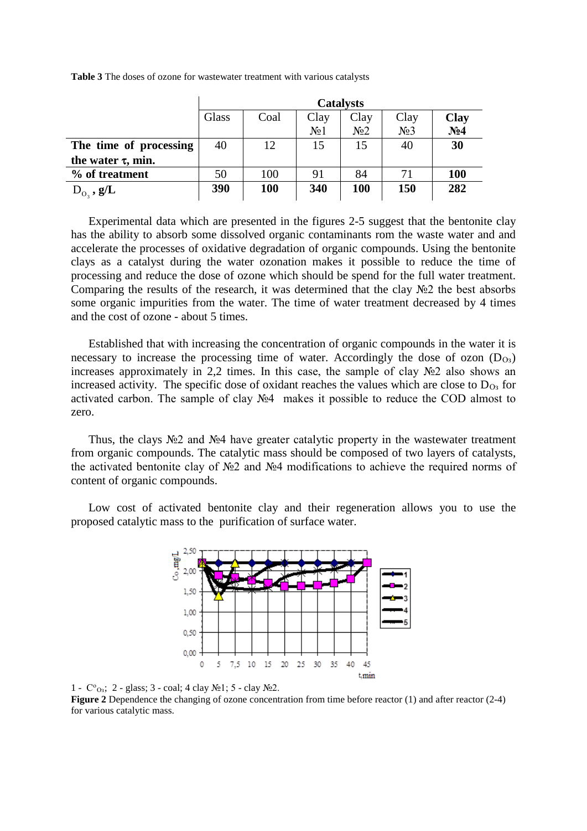|                         | <b>Catalysts</b> |            |                  |                  |                  |                 |  |
|-------------------------|------------------|------------|------------------|------------------|------------------|-----------------|--|
|                         | Glass            | Coal       | Clay             | Clay             | Clay             | <b>Clay</b>     |  |
|                         |                  |            | N <sub>0</sub> 1 | N <sub>0</sub> 2 | N <sub>2</sub> 3 | N <sub>24</sub> |  |
| The time of processing  | 40               | 12         | 15               | 15               | 40               | 30              |  |
| the water $\tau$ , min. |                  |            |                  |                  |                  |                 |  |
| % of treatment          | 50               | 100        | 91               | 84               | 71               | <b>100</b>      |  |
| $D_{0}$ , $g/L$         | 390              | <b>100</b> | 340              | <b>100</b>       | 150              | 282             |  |

**Table 3** The doses of ozone for wastewater treatment with various catalysts

Experimental data which are presented in the figures 2-5 suggest that the bentonite clay has the ability to absorb some dissolved organic contaminants rom the waste water and and accelerate the processes of oxidative degradation of organic compounds. Using the bentonite clays as a catalyst during the water ozonation makes it possible to reduce the time of processing and reduce the dose of ozone which should be spend for the full water treatment. Comparing the results of the research, it was determined that the clay №2 the best absorbs some organic impurities from the water. The time of water treatment decreased by 4 times and the cost of ozone - about 5 times.

Established that with increasing the concentration of organic compounds in the water it is necessary to increase the processing time of water. Accordingly the dose of ozon  $(D_{Q3})$ increases approximately in 2,2 times. In this case, the sample of clay №2 also shows an increased activity. The specific dose of oxidant reaches the values which are close to  $D_{\text{O}_3}$  for activated carbon. The sample of clay №4 makes it possible to reduce the COD almost to zero.

Thus, the clays  $\mathcal{N} \geq 2$  and  $\mathcal{N} \geq 4$  have greater catalytic property in the wastewater treatment from organic compounds. The catalytic mass should be composed of two layers of catalysts, the activated bentonite clay of №2 and №4 modifications to achieve the required norms of content of organic compounds.

Low cost of activated bentonite clay and their regeneration allows you to use the proposed catalytic mass to the purification of surface water.



1 - Со Оз; 2 - glass; 3 - coal; 4 clay №1; 5 - clay №2.

**Figure 2** Dependence the changing of ozone concentration from time before reactor (1) and after reactor (2-4) for various catalytic mass.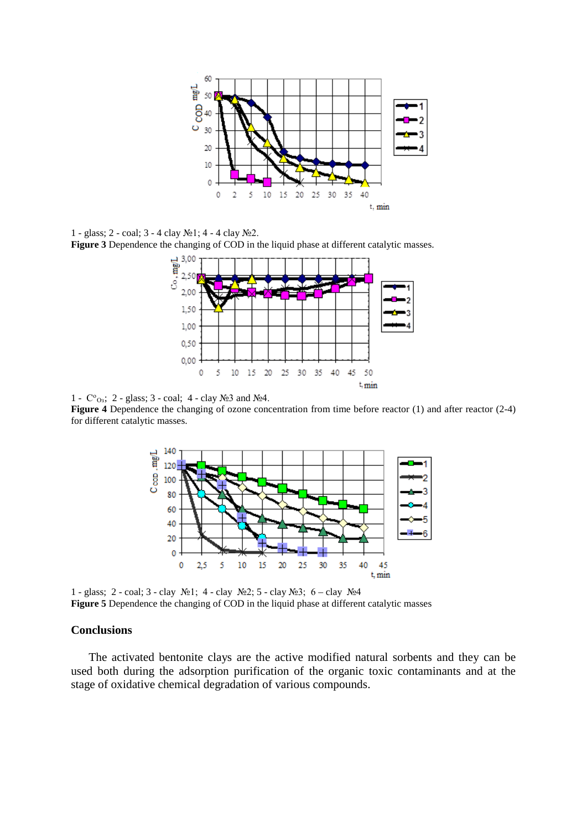

1 - glass; 2 - coal; 3 - 4 clay №1; 4 - 4 clay №2. **Figure 3** Dependence the changing of COD in the liquid phase at different catalytic masses.



1 - Со Оз; 2 - glass; 3 - coal; 4 - clay №3 and №4.

**Figure 4** Dependence the changing of ozone concentration from time before reactor (1) and after reactor (2-4) for different catalytic masses.



1 - glass; 2 - coal; 3 - clay №1; 4 - clay №2; 5 - clay №3; 6 – clay №4 **Figure 5** Dependence the changing of COD in the liquid phase at different catalytic masses

#### **Conclusions**

The activated bentonite clays are the active modified natural sorbents and they can be used both during the adsorption purification of the organic toxic contaminants and at the stage of oxidative chemical degradation of various compounds.